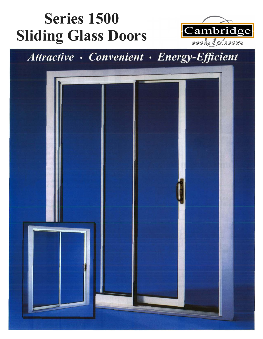# **Series 1500 Sliding Glass Doors**



### Attractive · Convenient · Energy-Efficient